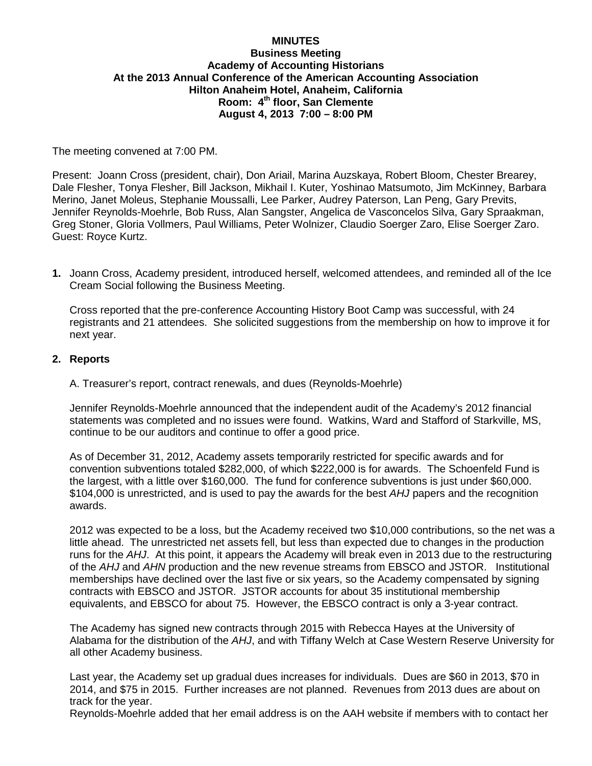## **MINUTES**

## **Business Meeting Academy of Accounting Historians At the 2013 Annual Conference of the American Accounting Association Hilton Anaheim Hotel, Anaheim, California Room: 4th floor, San Clemente August 4, 2013 7:00 – 8:00 PM**

The meeting convened at 7:00 PM.

Present: Joann Cross (president, chair), Don Ariail, Marina Auzskaya, Robert Bloom, Chester Brearey, Dale Flesher, Tonya Flesher, Bill Jackson, Mikhail I. Kuter, Yoshinao Matsumoto, Jim McKinney, Barbara Merino, Janet Moleus, Stephanie Moussalli, Lee Parker, Audrey Paterson, Lan Peng, Gary Previts, Jennifer Reynolds-Moehrle, Bob Russ, Alan Sangster, Angelica de Vasconcelos Silva, Gary Spraakman, Greg Stoner, Gloria Vollmers, Paul Williams, Peter Wolnizer, Claudio Soerger Zaro, Elise Soerger Zaro. Guest: Royce Kurtz.

**1.** Joann Cross, Academy president, introduced herself, welcomed attendees, and reminded all of the Ice Cream Social following the Business Meeting.

Cross reported that the pre-conference Accounting History Boot Camp was successful, with 24 registrants and 21 attendees. She solicited suggestions from the membership on how to improve it for next year.

## **2. Reports**

A. Treasurer's report, contract renewals, and dues (Reynolds-Moehrle)

Jennifer Reynolds-Moehrle announced that the independent audit of the Academy's 2012 financial statements was completed and no issues were found. Watkins, Ward and Stafford of Starkville, MS, continue to be our auditors and continue to offer a good price.

As of December 31, 2012, Academy assets temporarily restricted for specific awards and for convention subventions totaled \$282,000, of which \$222,000 is for awards. The Schoenfeld Fund is the largest, with a little over \$160,000. The fund for conference subventions is just under \$60,000. \$104,000 is unrestricted, and is used to pay the awards for the best *AHJ* papers and the recognition awards.

2012 was expected to be a loss, but the Academy received two \$10,000 contributions, so the net was a little ahead. The unrestricted net assets fell, but less than expected due to changes in the production runs for the *AHJ*. At this point, it appears the Academy will break even in 2013 due to the restructuring of the *AHJ* and *AHN* production and the new revenue streams from EBSCO and JSTOR. Institutional memberships have declined over the last five or six years, so the Academy compensated by signing contracts with EBSCO and JSTOR. JSTOR accounts for about 35 institutional membership equivalents, and EBSCO for about 75. However, the EBSCO contract is only a 3-year contract.

The Academy has signed new contracts through 2015 with Rebecca Hayes at the University of Alabama for the distribution of the *AHJ*, and with Tiffany Welch at Case Western Reserve University for all other Academy business.

Last year, the Academy set up gradual dues increases for individuals. Dues are \$60 in 2013, \$70 in 2014, and \$75 in 2015. Further increases are not planned. Revenues from 2013 dues are about on track for the year.

Reynolds-Moehrle added that her email address is on the AAH website if members with to contact her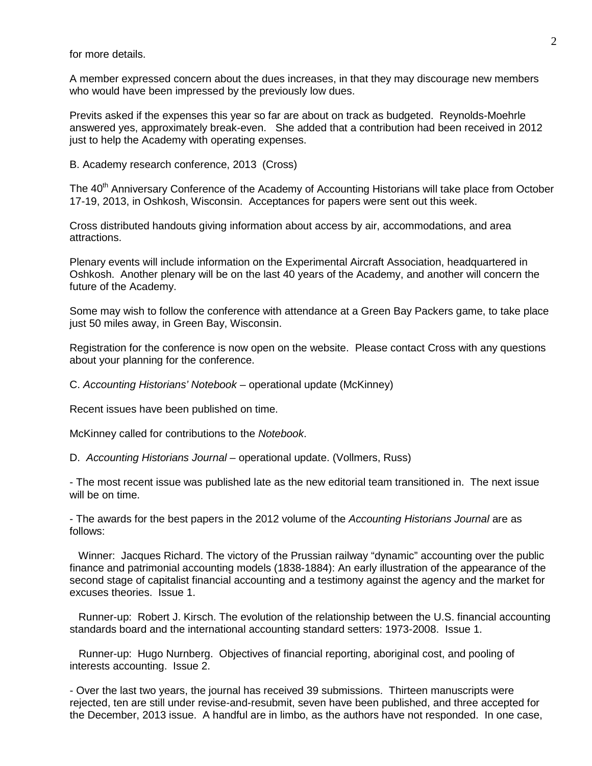for more details.

A member expressed concern about the dues increases, in that they may discourage new members who would have been impressed by the previously low dues.

Previts asked if the expenses this year so far are about on track as budgeted. Reynolds-Moehrle answered yes, approximately break-even. She added that a contribution had been received in 2012 just to help the Academy with operating expenses.

B. Academy research conference, 2013 (Cross)

The 40<sup>th</sup> Anniversary Conference of the Academy of Accounting Historians will take place from October 17-19, 2013, in Oshkosh, Wisconsin. Acceptances for papers were sent out this week.

Cross distributed handouts giving information about access by air, accommodations, and area attractions.

Plenary events will include information on the Experimental Aircraft Association, headquartered in Oshkosh. Another plenary will be on the last 40 years of the Academy, and another will concern the future of the Academy.

Some may wish to follow the conference with attendance at a Green Bay Packers game, to take place just 50 miles away, in Green Bay, Wisconsin.

Registration for the conference is now open on the website. Please contact Cross with any questions about your planning for the conference.

C. *Accounting Historians' Notebook* – operational update (McKinney)

Recent issues have been published on time.

McKinney called for contributions to the *Notebook*.

D. *Accounting Historians Journal* – operational update. (Vollmers, Russ)

- The most recent issue was published late as the new editorial team transitioned in. The next issue will be on time.

- The awards for the best papers in the 2012 volume of the *Accounting Historians Journal* are as follows:

 Winner: Jacques Richard. The victory of the Prussian railway "dynamic" accounting over the public finance and patrimonial accounting models (1838-1884): An early illustration of the appearance of the second stage of capitalist financial accounting and a testimony against the agency and the market for excuses theories. Issue 1.

 Runner-up: Robert J. Kirsch. The evolution of the relationship between the U.S. financial accounting standards board and the international accounting standard setters: 1973-2008. Issue 1.

 Runner-up: Hugo Nurnberg. Objectives of financial reporting, aboriginal cost, and pooling of interests accounting. Issue 2.

- Over the last two years, the journal has received 39 submissions. Thirteen manuscripts were rejected, ten are still under revise-and-resubmit, seven have been published, and three accepted for the December, 2013 issue. A handful are in limbo, as the authors have not responded. In one case,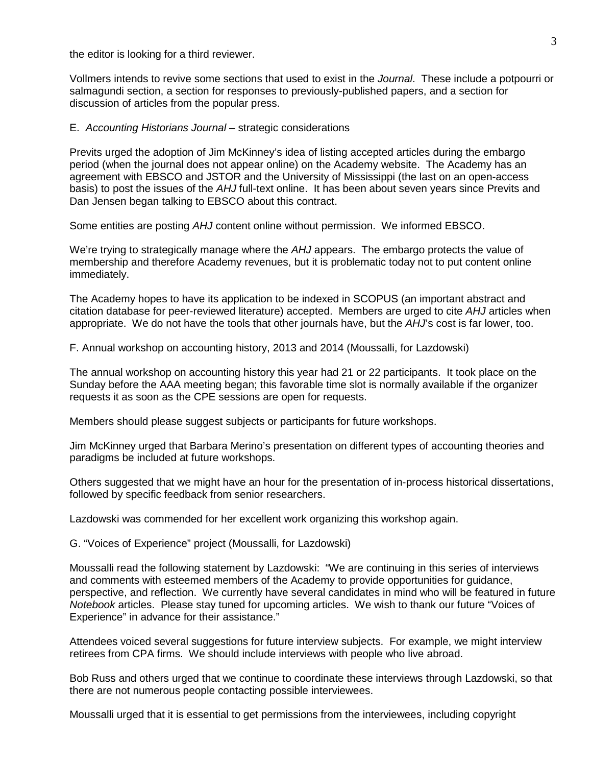the editor is looking for a third reviewer.

Vollmers intends to revive some sections that used to exist in the *Journal*. These include a potpourri or salmagundi section, a section for responses to previously-published papers, and a section for discussion of articles from the popular press.

## E. *Accounting Historians Journal – strategic considerations*

Previts urged the adoption of Jim McKinney's idea of listing accepted articles during the embargo period (when the journal does not appear online) on the Academy website. The Academy has an agreement with EBSCO and JSTOR and the University of Mississippi (the last on an open-access basis) to post the issues of the *AHJ* full-text online. It has been about seven years since Previts and Dan Jensen began talking to EBSCO about this contract.

Some entities are posting *AHJ* content online without permission. We informed EBSCO.

We're trying to strategically manage where the *AHJ* appears. The embargo protects the value of membership and therefore Academy revenues, but it is problematic today not to put content online immediately.

The Academy hopes to have its application to be indexed in SCOPUS (an important abstract and citation database for peer-reviewed literature) accepted. Members are urged to cite *AHJ* articles when appropriate. We do not have the tools that other journals have, but the *AHJ*'s cost is far lower, too.

F. Annual workshop on accounting history, 2013 and 2014 (Moussalli, for Lazdowski)

The annual workshop on accounting history this year had 21 or 22 participants. It took place on the Sunday before the AAA meeting began; this favorable time slot is normally available if the organizer requests it as soon as the CPE sessions are open for requests.

Members should please suggest subjects or participants for future workshops.

Jim McKinney urged that Barbara Merino's presentation on different types of accounting theories and paradigms be included at future workshops.

Others suggested that we might have an hour for the presentation of in-process historical dissertations, followed by specific feedback from senior researchers.

Lazdowski was commended for her excellent work organizing this workshop again.

G. "Voices of Experience" project (Moussalli, for Lazdowski)

Moussalli read the following statement by Lazdowski: "We are continuing in this series of interviews and comments with esteemed members of the Academy to provide opportunities for guidance, perspective, and reflection. We currently have several candidates in mind who will be featured in future *Notebook* articles. Please stay tuned for upcoming articles. We wish to thank our future "Voices of Experience" in advance for their assistance."

Attendees voiced several suggestions for future interview subjects. For example, we might interview retirees from CPA firms. We should include interviews with people who live abroad.

Bob Russ and others urged that we continue to coordinate these interviews through Lazdowski, so that there are not numerous people contacting possible interviewees.

Moussalli urged that it is essential to get permissions from the interviewees, including copyright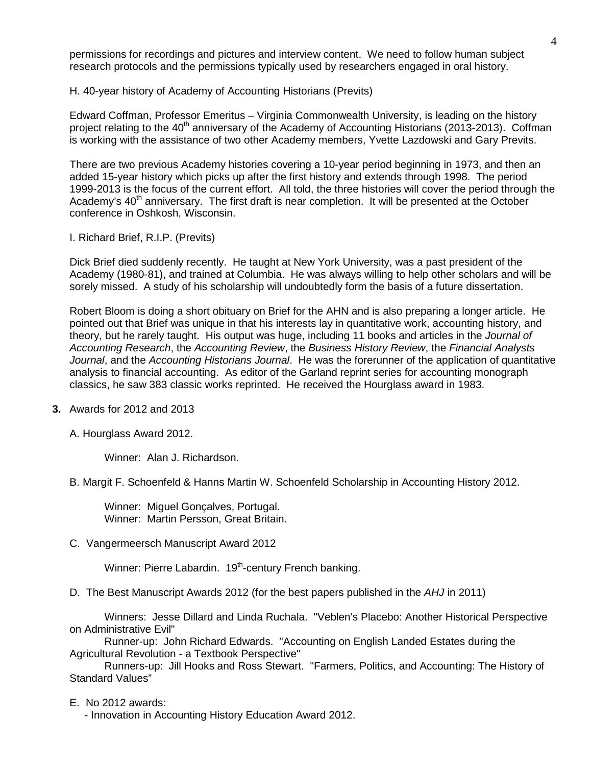permissions for recordings and pictures and interview content. We need to follow human subject research protocols and the permissions typically used by researchers engaged in oral history.

H. 40-year history of Academy of Accounting Historians (Previts)

Edward Coffman, Professor Emeritus – Virginia Commonwealth University, is leading on the history project relating to the 40<sup>th</sup> anniversary of the Academy of Accounting Historians (2013-2013). Coffman is working with the assistance of two other Academy members, Yvette Lazdowski and Gary Previts.

There are two previous Academy histories covering a 10-year period beginning in 1973, and then an added 15-year history which picks up after the first history and extends through 1998. The period 1999-2013 is the focus of the current effort. All told, the three histories will cover the period through the Academy's  $40<sup>th</sup>$  anniversary. The first draft is near completion. It will be presented at the October conference in Oshkosh, Wisconsin.

I. Richard Brief, R.I.P. (Previts)

Dick Brief died suddenly recently. He taught at New York University, was a past president of the Academy (1980-81), and trained at Columbia. He was always willing to help other scholars and will be sorely missed. A study of his scholarship will undoubtedly form the basis of a future dissertation.

Robert Bloom is doing a short obituary on Brief for the AHN and is also preparing a longer article. He pointed out that Brief was unique in that his interests lay in quantitative work, accounting history, and theory, but he rarely taught. His output was huge, including 11 books and articles in the *Journal of Accounting Research*, the *Accounting Review*, the *Business History Review*, the *Financial Analysts Journal*, and the *Accounting Historians Journal*. He was the forerunner of the application of quantitative analysis to financial accounting. As editor of the Garland reprint series for accounting monograph classics, he saw 383 classic works reprinted. He received the Hourglass award in 1983.

**3.** Awards for 2012 and 2013

A. Hourglass Award 2012.

Winner: Alan J. Richardson.

B. Margit F. Schoenfeld & Hanns Martin W. Schoenfeld Scholarship in Accounting History 2012.

 Winner: Miguel Gonçalves, Portugal. Winner: Martin Persson, Great Britain.

C. Vangermeersch Manuscript Award 2012

Winner: Pierre Labardin. 19<sup>th</sup>-century French banking.

D. The Best Manuscript Awards 2012 (for the best papers published in the *AHJ* in 2011)

Winners: Jesse Dillard and Linda Ruchala. "Veblen's Placebo: Another Historical Perspective on Administrative Evil"

Runner-up: John Richard Edwards. "Accounting on English Landed Estates during the Agricultural Revolution - a Textbook Perspective"

Runners-up: Jill Hooks and Ross Stewart. "Farmers, Politics, and Accounting: The History of Standard Values"

E. No 2012 awards:

- Innovation in Accounting History Education Award 2012.